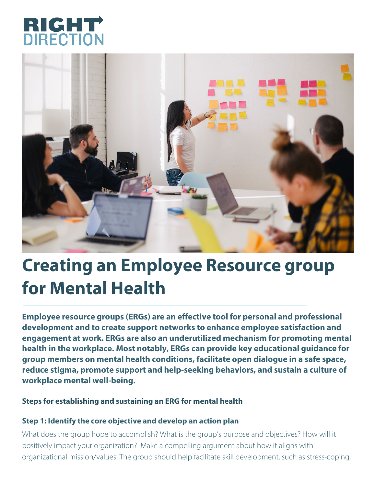



# **Creating an Employee Resource group for Mental Health**

**Employee resource groups (ERGs) are an effective tool for personal and professional development and to create support networks to enhance employee satisfaction and engagement at work. ERGs are also an underutilized mechanism for promoting mental health in the workplace. Most notably, ERGs can provide key educational guidance for group members on mental health conditions, facilitate open dialogue in a safe space, reduce stigma, promote support and help-seeking behaviors, and sustain a culture of workplace mental well-being.**

### **Steps for establishing and sustaining an ERG for mental health**

#### **Step 1: Identify the core objective and develop an action plan**

What does the group hope to accomplish? What is the group's purpose and objectives? How will it positively impact your organization? Make a compelling argument about how it aligns with organizational mission/values. The group should help facilitate skill development, such as stress-coping,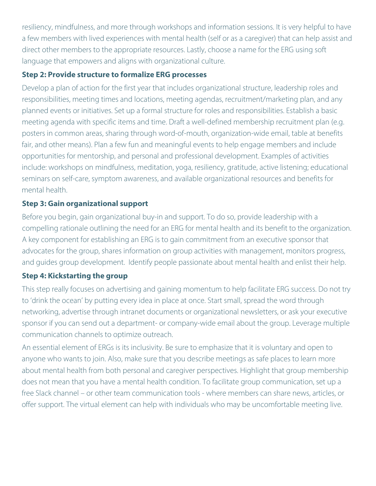resiliency, mindfulness, and more through workshops and information sessions. It is very helpful to have a few members with lived experiences with mental health (self or as a caregiver) that can help assist and direct other members to the appropriate resources. Lastly, choose a name for the ERG using soft language that empowers and aligns with organizational culture.

#### **Step 2: Provide structure to formalize ERG processes**

Develop a plan of action for the first year that includes organizational structure, leadership roles and responsibilities, meeting times and locations, meeting agendas, recruitment/marketing plan, and any planned events or initiatives. Set up a formal structure for roles and responsibilities. Establish a basic meeting agenda with specific items and time. Draft a well-defined membership recruitment plan (e.g. posters in common areas, sharing through word-of-mouth, organization-wide email, table at benefits fair, and other means). Plan a few fun and meaningful events to help engage members and include opportunities for mentorship, and personal and professional development. Examples of activities include: workshops on mindfulness, meditation, yoga, resiliency, gratitude, active listening; educational seminars on self-care, symptom awareness, and available organizational resources and benefits for mental health.

## **Step 3: Gain organizational support**

Before you begin, gain organizational buy-in and support. To do so, provide leadership with a compelling rationale outlining the need for an ERG for mental health and its benefit to the organization. A key component for establishing an ERG is to gain commitment from an executive sponsor that advocates for the group, shares information on group activities with management, monitors progress, and guides group development. Identify people passionate about mental health and enlist their help.

## **Step 4: Kickstarting the group**

This step really focuses on advertising and gaining momentum to help facilitate ERG success. Do not try to 'drink the ocean' by putting every idea in place at once. Start small, spread the word through networking, advertise through intranet documents or organizational newsletters, or ask your executive sponsor if you can send out a department- or company-wide email about the group. Leverage multiple communication channels to optimize outreach.

An essential element of ERGs is its inclusivity. Be sure to emphasize that it is voluntary and open to anyone who wants to join. Also, make sure that you describe meetings as safe places to learn more about mental health from both personal and caregiver perspectives. Highlight that group membership does not mean that you have a mental health condition. To facilitate group communication, set up a free Slack channel – or other team communication tools - where members can share news, articles, or offer support. The virtual element can help with individuals who may be uncomfortable meeting live.